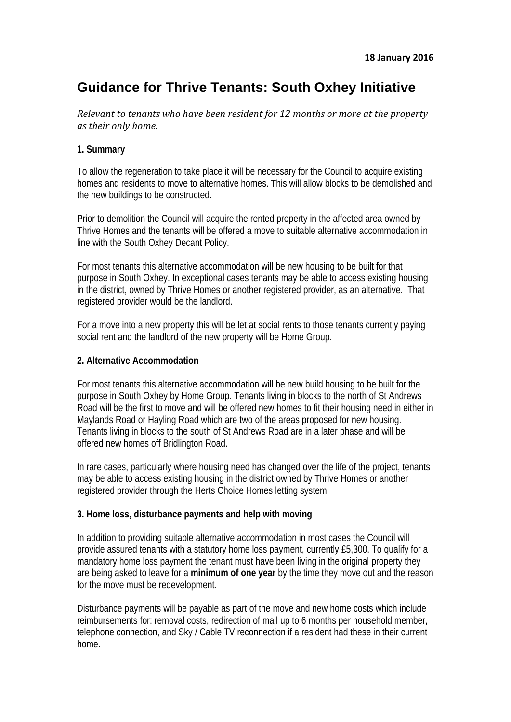# **Guidance for Thrive Tenants: South Oxhey Initiative**

*R elevant to tenants who have been resident for 12 months or more at the property a s their only home.*

## **1. Summary**

To allow the regeneration to take place it will be necessary for the Council to acquire existing homes and residents to move to alternative homes. This will allow blocks to be demolished and the new buildings to be constructed.

Prior to demolition the Council will acquire the rented property in the affected area owned by Thrive Homes and the tenants will be offered a move to suitable alternative accommodation in line with the South Oxhey Decant Policy.

For most tenants this alternative accommodation will be new housing to be built for that purpose in South Oxhey. In exceptional cases tenants may be able to access existing housing in the district, owned by Thrive Homes or another registered provider, as an alternative. That registered provider would be the landlord.

For a move into a new property this will be let at social rents to those tenants currently paying social rent and the landlord of the new property will be Home Group.

## **2. Alternative Accommodation**

For most tenants this alternative accommodation will be new build housing to be built for the purpose in South Oxhey by Home Group. Tenants living in blocks to the north of St Andrews Road will be the first to move and will be offered new homes to fit their housing need in either in Maylands Road or Hayling Road which are two of the areas proposed for new housing. Tenants living in blocks to the south of St Andrews Road are in a later phase and will be offered new homes off Bridlington Road.

In rare cases, particularly where housing need has changed over the life of the project, tenants may be able to access existing housing in the district owned by Thrive Homes or another registered provider through the Herts Choice Homes letting system.

## **3. Home loss, disturbance payments and help with moving**

In addition to providing suitable alternative accommodation in most cases the Council will provide assured tenants with a statutory home loss payment, currently £5,300. To qualify for a mandatory home loss payment the tenant must have been living in the original property they are being asked to leave for a **minimum of one year** by the time they move out and the reason for the move must be redevelopment.

Disturbance payments will be payable as part of the move and new home costs which include reimbursements for: removal costs, redirection of mail up to 6 months per household member, telephone connection, and Sky / Cable TV reconnection if a resident had these in their current home.